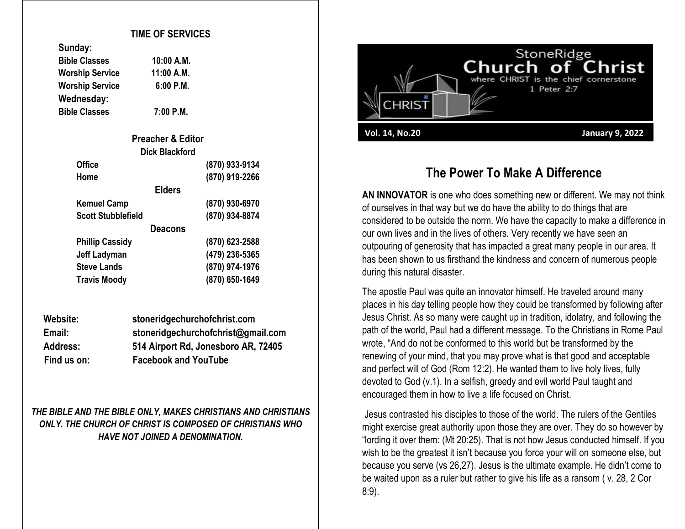## **TIME OF SERVICES**

| Sunday: |  |
|---------|--|
|---------|--|

| <b>Bible Classes</b>   | 10:00 A.M.  |
|------------------------|-------------|
| <b>Worship Service</b> | 11:00 A.M.  |
| <b>Worship Service</b> | $6:00$ P.M. |
| Wednesday:             |             |
| <b>Bible Classes</b>   | 7:00 P.M.   |

**Bible Classes 7:00 P.M.**

| <b>Preacher &amp; Editor</b> |                |
|------------------------------|----------------|
| <b>Dick Blackford</b>        |                |
| <b>Office</b>                | (870) 933-9134 |
| Home                         | (870) 919-2266 |
| <b>Elders</b>                |                |
| <b>Kemuel Camp</b>           | (870) 930-6970 |
| <b>Scott Stubblefield</b>    | (870) 934-8874 |
| <b>Deacons</b>               |                |
| <b>Phillip Cassidy</b>       | (870) 623-2588 |
| Jeff Ladyman                 | (479) 236-5365 |
| <b>Steve Lands</b>           | (870) 974-1976 |
| <b>Travis Moody</b>          | (870) 650-1649 |

| Website:        | stoneridgechurchofchrist.com        |
|-----------------|-------------------------------------|
| Email:          | stoneridgechurchofchrist@gmail.com  |
| <b>Address:</b> | 514 Airport Rd, Jonesboro AR, 72405 |
| Find us on:     | <b>Facebook and YouTube</b>         |

*THE BIBLE AND THE BIBLE ONLY, MAKES CHRISTIANS AND CHRISTIANS ONLY. THE CHURCH OF CHRIST IS COMPOSED OF CHRISTIANS WHO HAVE NOT JOINED A DENOMINATION.*



## **The Power To Make A Difference**

**AN INNOVATOR** is one who does something new or different. We may not think of ourselves in that way but we do have the ability to do things that are considered to be outside the norm. We have the capacity to make a difference in our own lives and in the lives of others. Very recently we have seen an outpouring of generosity that has impacted a great many people in our area. It has been shown to us firsthand the kindness and concern of numerous people during this natural disaster.

The apostle Paul was quite an innovator himself. He traveled around many places in his day telling people how they could be transformed by following after Jesus Christ. As so many were caught up in tradition, idolatry, and following the path of the world, Paul had a different message. To the Christians in Rome Paul wrote, "And do not be conformed to this world but be transformed by the renewing of your mind, that you may prove what is that good and acceptable and perfect will of God (Rom 12:2). He wanted them to live holy lives, fully devoted to God (v.1). In a selfish, greedy and evil world Paul taught and encouraged them in how to live a life focused on Christ.

Jesus contrasted his disciples to those of the world. The rulers of the Gentiles might exercise great authority upon those they are over. They do so however by "lording it over them: (Mt 20:25). That is not how Jesus conducted himself. If you wish to be the greatest it isn't because you force your will on someone else, but because you serve (vs 26,27). Jesus is the ultimate example. He didn't come to be waited upon as a ruler but rather to give his life as a ransom ( v. 28, 2 Cor 8:9).